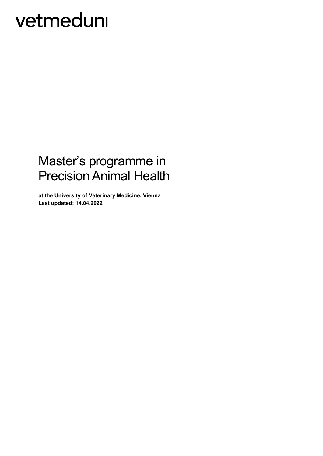### Master's programme in Precision Animal Health

**at the University of Veterinary Medicine, Vienna Last updated: 14.04.2022**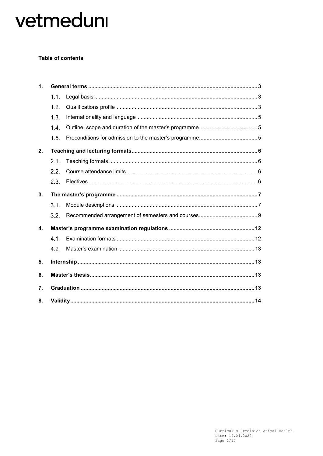### **Table of contents**

| $\mathbf{1}$ . |      |  |  |  |
|----------------|------|--|--|--|
|                | 1.1. |  |  |  |
|                | 1.2. |  |  |  |
|                | 1.3. |  |  |  |
|                | 1.4. |  |  |  |
|                | 1.5. |  |  |  |
| 2.             |      |  |  |  |
|                | 2.1. |  |  |  |
|                | 2.2. |  |  |  |
|                | 2.3. |  |  |  |
| 3.             |      |  |  |  |
|                | 3.1. |  |  |  |
|                | 3.2. |  |  |  |
| $\mathbf{4}$   |      |  |  |  |
|                | 4.1. |  |  |  |
|                | 4.2. |  |  |  |
| 5.             |      |  |  |  |
| 6.             |      |  |  |  |
| 7.             |      |  |  |  |
| 8.             |      |  |  |  |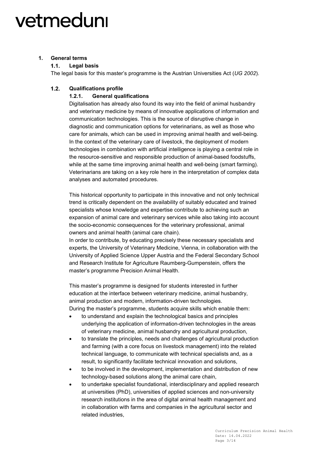### <span id="page-2-1"></span><span id="page-2-0"></span>**1. General terms**

#### $1.1.$ **Legal basis**

The legal basis for this master's programme is the Austrian Universities Act (*UG 2002*).

#### <span id="page-2-2"></span> $1.2.$ **Qualifications profile**

### **1.2.1. General qualifications**

Digitalisation has already also found its way into the field of animal husbandry and veterinary medicine by means of innovative applications of information and communication technologies. This is the source of disruptive change in diagnostic and communication options for veterinarians, as well as those who care for animals, which can be used in improving animal health and well-being. In the context of the veterinary care of livestock, the deployment of modern technologies in combination with artificial intelligence is playing a central role in the resource-sensitive and responsible production of animal-based foodstuffs, while at the same time improving animal health and well-being (smart farming). Veterinarians are taking on a key role here in the interpretation of complex data analyses and automated procedures.

This historical opportunity to participate in this innovative and not only technical trend is critically dependent on the availability of suitably educated and trained specialists whose knowledge and expertise contribute to achieving such an expansion of animal care and veterinary services while also taking into account the socio-economic consequences for the veterinary professional, animal owners and animal health (animal care chain).

In order to contribute, by educating precisely these necessary specialists and experts, the University of Veterinary Medicine, Vienna, in collaboration with the University of Applied Science Upper Austria and the Federal Secondary School and Research Institute for Agriculture Raumberg-Gumpenstein, offers the master's programme Precision Animal Health.

This master's programme is designed for students interested in further education at the interface between veterinary medicine, animal husbandry, animal production and modern, information-driven technologies. During the master's programme, students acquire skills which enable them:

- to understand and explain the technological basics and principles underlying the application of information-driven technologies in the areas of veterinary medicine, animal husbandry and agricultural production,
- to translate the principles, needs and challenges of agricultural production and farming (with a core focus on livestock management) into the related technical language, to communicate with technical specialists and, as a result, to significantly facilitate technical innovation and solutions,
- to be involved in the development, implementation and distribution of new technology-based solutions along the animal care chain,
- to undertake specialist foundational, interdisciplinary and applied research at universities (PhD), universities of applied sciences and non-university research institutions in the area of digital animal health management and in collaboration with farms and companies in the agricultural sector and related industries,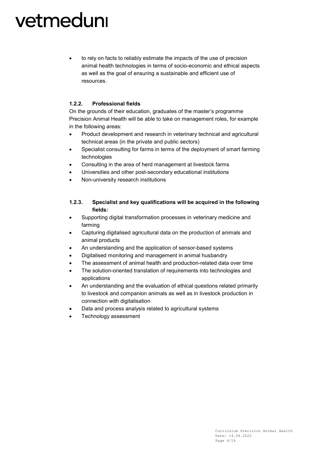• to rely on facts to reliably estimate the impacts of the use of precision animal health technologies in terms of socio-economic and ethical aspects as well as the goal of ensuring a sustainable and efficient use of resources.

### **1.2.2. Professional fields**

On the grounds of their education, graduates of the master's programme Precision Animal Health will be able to take on management roles, for example in the following areas:

- Product development and research in veterinary technical and agricultural technical areas (in the private and public sectors)
- Specialist consulting for farms in terms of the deployment of smart farming technologies
- Consulting in the area of herd management at livestock farms
- Universities and other post-secondary educational institutions
- Non-university research institutions

### **1.2.3. Specialist and key qualifications will be acquired in the following fields:**

- Supporting digital transformation processes in veterinary medicine and farming
- Capturing digitalised agricultural data on the production of animals and animal products
- An understanding and the application of sensor-based systems
- Digitalised monitoring and management in animal husbandry
- The assessment of animal health and production-related data over time
- The solution-oriented translation of requirements into technologies and applications
- An understanding and the evaluation of ethical questions related primarily to livestock and companion animals as well as in livestock production in connection with digitalisation
- Data and process analysis related to agricultural systems
- Technology assessment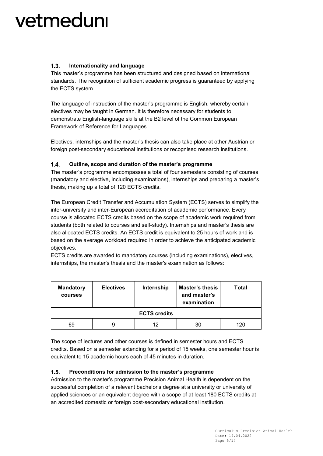#### <span id="page-4-0"></span> $1.3.$ **Internationality and language**

This master's programme has been structured and designed based on international standards. The recognition of sufficient academic progress is guaranteed by applying the ECTS system.

The language of instruction of the master's programme is English, whereby certain electives may be taught in German. It is therefore necessary for students to demonstrate English-language skills at the B2 level of the Common European Framework of Reference for Languages.

Electives, internships and the master's thesis can also take place at other Austrian or foreign post-secondary educational institutions or recognised research institutions.

#### <span id="page-4-1"></span> $1.4.$ **Outline, scope and duration of the master's programme**

The master's programme encompasses a total of four semesters consisting of courses (mandatory and elective, including examinations), internships and preparing a master's thesis, making up a total of 120 ECTS credits.

The European Credit Transfer and Accumulation System (ECTS) serves to simplify the inter-university and inter-European accreditation of academic performance. Every course is allocated ECTS credits based on the scope of academic work required from students (both related to courses and self-study). Internships and master's thesis are also allocated ECTS credits. An ECTS credit is equivalent to 25 hours of work and is based on the average workload required in order to achieve the anticipated academic objectives.

ECTS credits are awarded to mandatory courses (including examinations), electives, internships, the master's thesis and the master's examination as follows:

| <b>Mandatory</b><br><b>courses</b> | <b>Electives</b> | Internship | <b>Master's thesis</b><br>and master's<br>examination | Total |  |  |  |
|------------------------------------|------------------|------------|-------------------------------------------------------|-------|--|--|--|
| <b>ECTS credits</b>                |                  |            |                                                       |       |  |  |  |
| 69                                 | 9                | 12         | 30                                                    | 120   |  |  |  |

The scope of lectures and other courses is defined in semester hours and ECTS credits. Based on a semester extending for a period of 15 weeks, one semester hour is equivalent to 15 academic hours each of 45 minutes in duration.

#### <span id="page-4-2"></span> $1.5.$ **Preconditions for admission to the master's programme**

Admission to the master's programme Precision Animal Health is dependent on the successful completion of a relevant bachelor's degree at a university or university of applied sciences or an equivalent degree with a scope of at least 180 ECTS credits at an accredited domestic or foreign post-secondary educational institution.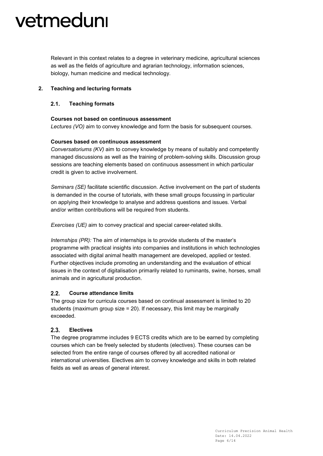Relevant in this context relates to a degree in veterinary medicine, agricultural sciences as well as the fields of agriculture and agrarian technology, information sciences, biology, human medicine and medical technology.

### <span id="page-5-0"></span>**2. Teaching and lecturing formats**

#### <span id="page-5-1"></span> $2.1.$ **Teaching formats**

### **Courses not based on continuous assessment**

*Lectures (VO)* aim to convey knowledge and form the basis for subsequent courses.

### **Courses based on continuous assessment**

*Conversatoriums (KV)* aim to convey knowledge by means of suitably and competently managed discussions as well as the training of problem-solving skills. Discussion group sessions are teaching elements based on continuous assessment in which particular credit is given to active involvement.

*Seminars (SE)* facilitate scientific discussion. Active involvement on the part of students is demanded in the course of tutorials, with these small groups focussing in particular on applying their knowledge to analyse and address questions and issues. Verbal and/or written contributions will be required from students.

*Exercises (UE)* aim to convey practical and special career-related skills.

*Internships (PR):* The aim of internships is to provide students of the master's programme with practical insights into companies and institutions in which technologies associated with digital animal health management are developed, applied or tested. Further objectives include promoting an understanding and the evaluation of ethical issues in the context of digitalisation primarily related to ruminants, swine, horses, small animals and in agricultural production.

#### <span id="page-5-2"></span> $2.2.$ **Course attendance limits**

The group size for curricula courses based on continual assessment is limited to 20 students (maximum group size = 20). If necessary, this limit may be marginally exceeded.

#### <span id="page-5-3"></span> $2.3$ **Electives**

The degree programme includes 9 ECTS credits which are to be earned by completing courses which can be freely selected by students (electives). These courses can be selected from the entire range of courses offered by all accredited national or international universities. Electives aim to convey knowledge and skills in both related fields as well as areas of general interest.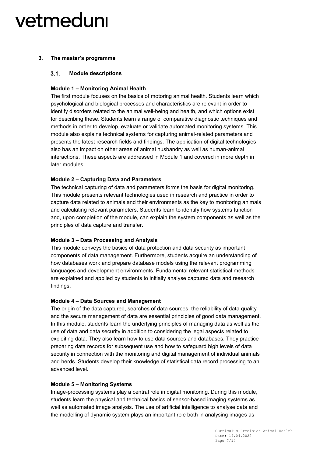### <span id="page-6-0"></span>**3. The master's programme**

#### <span id="page-6-1"></span> $3.1.$ **Module descriptions**

### **Module 1 – Monitoring Animal Health**

The first module focuses on the basics of motoring animal health. Students learn which psychological and biological processes and characteristics are relevant in order to identify disorders related to the animal well-being and health, and which options exist for describing these. Students learn a range of comparative diagnostic techniques and methods in order to develop, evaluate or validate automated monitoring systems. This module also explains technical systems for capturing animal-related parameters and presents the latest research fields and findings. The application of digital technologies also has an impact on other areas of animal husbandry as well as human-animal interactions. These aspects are addressed in Module 1 and covered in more depth in later modules.

### **Module 2 – Capturing Data and Parameters**

The technical capturing of data and parameters forms the basis for digital monitoring. This module presents relevant technologies used in research and practice in order to capture data related to animals and their environments as the key to monitoring animals and calculating relevant parameters. Students learn to identify how systems function and, upon completion of the module, can explain the system components as well as the principles of data capture and transfer.

### **Module 3 – Data Processing and Analysis**

This module conveys the basics of data protection and data security as important components of data management. Furthermore, students acquire an understanding of how databases work and prepare database models using the relevant programming languages and development environments. Fundamental relevant statistical methods are explained and applied by students to initially analyse captured data and research findings.

### **Module 4 – Data Sources and Management**

The origin of the data captured, searches of data sources, the reliability of data quality and the secure management of data are essential principles of good data management. In this module, students learn the underlying principles of managing data as well as the use of data and data security in addition to considering the legal aspects related to exploiting data. They also learn how to use data sources and databases. They practice preparing data records for subsequent use and how to safeguard high levels of data security in connection with the monitoring and digital management of individual animals and herds. Students develop their knowledge of statistical data record processing to an advanced level.

### **Module 5 – Monitoring Systems**

Image-processing systems play a central role in digital monitoring. During this module, students learn the physical and technical basics of sensor-based imaging systems as well as automated image analysis. The use of artificial intelligence to analyse data and the modelling of dynamic system plays an important role both in analysing images as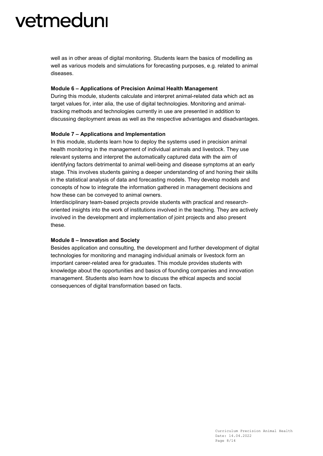well as in other areas of digital monitoring. Students learn the basics of modelling as well as various models and simulations for forecasting purposes, e.g. related to animal diseases.

### **Module 6 – Applications of Precision Animal Health Management**

During this module, students calculate and interpret animal-related data which act as target values for, inter alia, the use of digital technologies. Monitoring and animaltracking methods and technologies currently in use are presented in addition to discussing deployment areas as well as the respective advantages and disadvantages.

### **Module 7 – Applications and Implementation**

In this module, students learn how to deploy the systems used in precision animal health monitoring in the management of individual animals and livestock. They use relevant systems and interpret the automatically captured data with the aim of identifying factors detrimental to animal well-being and disease symptoms at an early stage. This involves students gaining a deeper understanding of and honing their skills in the statistical analysis of data and forecasting models. They develop models and concepts of how to integrate the information gathered in management decisions and how these can be conveyed to animal owners.

Interdisciplinary team-based projects provide students with practical and researchoriented insights into the work of institutions involved in the teaching. They are actively involved in the development and implementation of joint projects and also present these.

#### **Module 8 – Innovation and Society**

Besides application and consulting, the development and further development of digital technologies for monitoring and managing individual animals or livestock form an important career-related area for graduates. This module provides students with knowledge about the opportunities and basics of founding companies and innovation management. Students also learn how to discuss the ethical aspects and social consequences of digital transformation based on facts.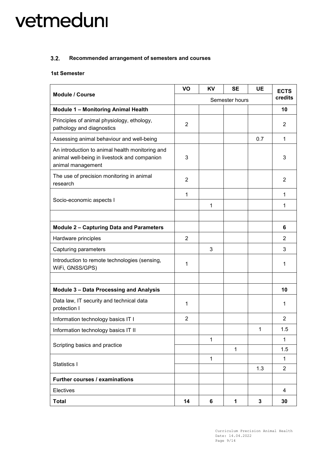#### <span id="page-8-0"></span>**Recommended arrangement of semesters and courses**  $3.2.$

### **1st Semester**

| <b>Module / Course</b>                                                                                               | VO             | KV           | <b>SE</b>      | <b>UE</b>   | <b>ECTS</b>    |
|----------------------------------------------------------------------------------------------------------------------|----------------|--------------|----------------|-------------|----------------|
|                                                                                                                      | Semester hours |              |                |             | credits        |
| <b>Module 1 - Monitoring Animal Health</b>                                                                           |                |              |                |             | 10             |
| Principles of animal physiology, ethology,<br>pathology and diagnostics                                              | $\overline{2}$ |              |                |             | 2              |
| Assessing animal behaviour and well-being                                                                            |                |              |                | 0.7         | 1              |
| An introduction to animal health monitoring and<br>animal well-being in livestock and companion<br>animal management | 3              |              |                |             | 3              |
| The use of precision monitoring in animal<br>research                                                                | $\overline{2}$ |              |                |             | 2              |
|                                                                                                                      | 1              |              |                |             | 1              |
| Socio-economic aspects I                                                                                             |                | 1            |                |             | 1              |
|                                                                                                                      |                |              |                |             |                |
| <b>Module 2 - Capturing Data and Parameters</b>                                                                      |                |              |                |             | 6              |
| Hardware principles                                                                                                  | $\overline{2}$ |              |                |             | 2              |
| Capturing parameters                                                                                                 |                | 3            |                |             | 3              |
| Introduction to remote technologies (sensing,<br>WiFi, GNSS/GPS)                                                     | 1              |              |                |             | 1              |
|                                                                                                                      |                |              |                |             |                |
| <b>Module 3 - Data Processing and Analysis</b>                                                                       |                |              |                |             | 10             |
| Data law, IT security and technical data<br>protection I                                                             | 1              |              |                |             | 1              |
| Information technology basics IT I                                                                                   | $\overline{2}$ |              |                |             | $\overline{2}$ |
| Information technology basics IT II                                                                                  |                |              |                | 1           | 1.5            |
| Scripting basics and practice                                                                                        |                | $\mathbf{1}$ |                |             | $\mathbf{1}$   |
|                                                                                                                      |                |              | $\mathbf{1}$   |             | 1.5            |
| Statistics I                                                                                                         |                | $\mathbf{1}$ |                |             | $\mathbf{1}$   |
|                                                                                                                      |                | 1.3          | $\overline{2}$ |             |                |
| Further courses / examinations                                                                                       |                |              |                |             |                |
| Electives                                                                                                            |                |              |                |             | 4              |
| <b>Total</b>                                                                                                         | 14             | 6            | 1              | $\mathbf 3$ | 30             |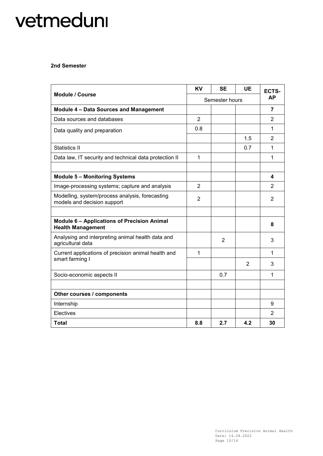### **2nd Semester**

|                                                                                | <b>KV</b>      | <b>SE</b>      | UE             | ECTS-          |
|--------------------------------------------------------------------------------|----------------|----------------|----------------|----------------|
| <b>Module / Course</b>                                                         | Semester hours |                | АP             |                |
| <b>Module 4 - Data Sources and Management</b>                                  |                |                |                | 7              |
| Data sources and databases                                                     | $\overline{2}$ |                |                | 2              |
| Data quality and preparation                                                   | 0.8            |                |                | 1              |
|                                                                                |                |                | 1.5            | 2              |
| Statistics II                                                                  |                |                | 0.7            | 1              |
| Data law, IT security and technical data protection II                         | 1              |                |                | 1              |
|                                                                                |                |                |                |                |
| <b>Module 5 - Monitoring Systems</b>                                           |                |                |                | 4              |
| Image-processing systems; capture and analysis                                 | $\overline{2}$ |                |                | $\overline{2}$ |
| Modelling, system/process analysis, forecasting<br>models and decision support | $\overline{2}$ |                |                | 2              |
|                                                                                |                |                |                |                |
| <b>Module 6 - Applications of Precision Animal</b><br><b>Health Management</b> |                |                |                | 8              |
| Analysing and interpreting animal health data and<br>agricultural data         |                | $\overline{2}$ |                | 3              |
| Current applications of precision animal health and                            | 1              |                |                | 1              |
| smart farming I                                                                |                |                | $\overline{2}$ | 3              |
| Socio-economic aspects II                                                      |                | 0.7            |                | 1              |
|                                                                                |                |                |                |                |
| Other courses / components                                                     |                |                |                |                |
| Internship                                                                     |                |                |                | 9              |
| Electives                                                                      |                |                |                | $\overline{2}$ |
| <b>Total</b>                                                                   | 8.8            | 2.7            | 4.2            | 30             |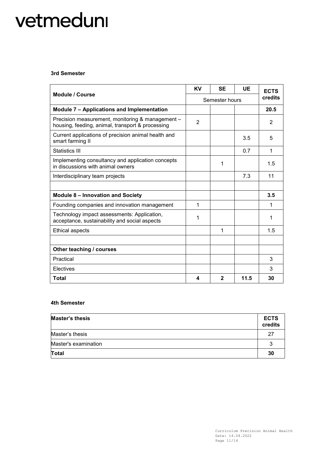### **3rd Semester**

|                                                                                                      |                | <b>SE</b>    | <b>UE</b> | <b>ECTS</b> |
|------------------------------------------------------------------------------------------------------|----------------|--------------|-----------|-------------|
| <b>Module / Course</b>                                                                               | Semester hours |              |           | credits     |
| Module 7 - Applications and Implementation                                                           |                |              |           | 20.5        |
| Precision measurement, monitoring & management -<br>housing, feeding, animal, transport & processing | $\overline{2}$ |              |           | 2           |
| Current applications of precision animal health and<br>smart farming II                              |                |              | 3.5       | 5           |
| Statistics III                                                                                       |                |              | 0.7       | 1           |
| Implementing consultancy and application concepts<br>in discussions with animal owners               |                | 1            |           | 1.5         |
| Interdisciplinary team projects                                                                      |                |              | 7.3       | 11          |
|                                                                                                      |                |              |           |             |
| <b>Module 8 - Innovation and Society</b>                                                             |                |              |           | 3.5         |
| Founding companies and innovation management                                                         | 1              |              |           | 1           |
| Technology impact assessments: Application,<br>acceptance, sustainability and social aspects         | 1              |              |           | 1           |
| <b>Ethical aspects</b>                                                                               |                | 1            |           | 1.5         |
|                                                                                                      |                |              |           |             |
| Other teaching / courses                                                                             |                |              |           |             |
| Practical                                                                                            |                |              |           | 3           |
| Electives                                                                                            |                |              |           | 3           |
| Total                                                                                                | 4              | $\mathbf{2}$ | 11.5      | 30          |

### **4th Semester**

| <b>Master's thesis</b> | <b>ECTS</b><br>credits |
|------------------------|------------------------|
| Master's thesis        | 27                     |
| Master's examination   |                        |
| <b>Total</b>           | 30                     |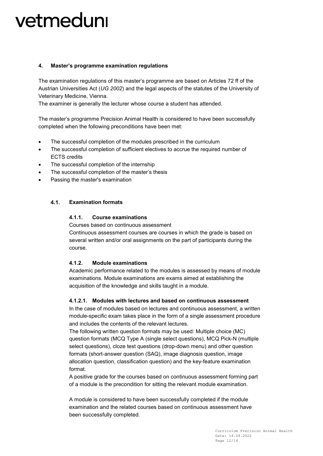### <span id="page-11-0"></span>**4. Master's programme examination regulations**

The examination regulations of this master's programme are based on Articles 72 ff of the Austrian Universities Act (*UG 2002*) and the legal aspects of the statutes of the University of Veterinary Medicine, Vienna.

The examiner is generally the lecturer whose course a student has attended.

The master's programme Precision Animal Health is considered to have been successfully completed when the following preconditions have been met:

- The successful completion of the modules prescribed in the curriculum
- The successful completion of sufficient electives to accrue the required number of ECTS credits
- The successful completion of the internship
- The successful completion of the master's thesis
- Passing the master's examination

#### <span id="page-11-1"></span> $4.1.$ **Examination formats**

### **4.1.1. Course examinations**

Courses based on continuous assessment

Continuous assessment courses are courses in which the grade is based on several written and/or oral assignments on the part of participants during the course.

### **4.1.2. Module examinations**

Academic performance related to the modules is assessed by means of module examinations. Module examinations are exams aimed at establishing the acquisition of the knowledge and skills taught in a module.

### **4.1.2.1. Modules with lectures and based on continuous assessment**

In the case of modules based on lectures and continuous assessment, a written module-specific exam takes place in the form of a single assessment procedure and includes the contents of the relevant lectures.

The following written question formats may be used: Multiple choice (MC) question formats (MCQ Type A (single select questions), MCQ Pick-N (multiple select questions), cloze test questions (drop-down menu) and other question formats (short-answer question (SAQ), image diagnosis question, image allocation question, classification question) and the key-feature examination format.

A positive grade for the courses based on continuous assessment forming part of a module is the precondition for sitting the relevant module examination.

A module is considered to have been successfully completed if the module examination and the related courses based on continuous assessment have been successfully completed.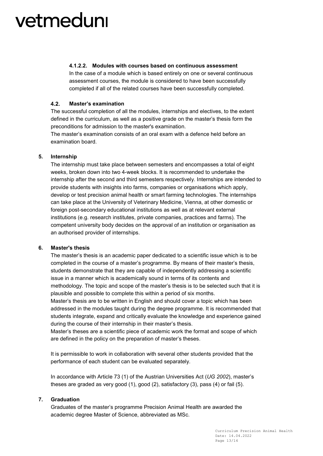### **4.1.2.2. Modules with courses based on continuous assessment**

In the case of a module which is based entirely on one or several continuous assessment courses, the module is considered to have been successfully completed if all of the related courses have been successfully completed.

#### <span id="page-12-0"></span> $4.2.$ **Master's examination**

The successful completion of all the modules, internships and electives, to the extent defined in the curriculum, as well as a positive grade on the master's thesis form the preconditions for admission to the master's examination.

The master's examination consists of an oral exam with a defence held before an examination board.

### <span id="page-12-1"></span>**5. Internship**

The internship must take place between semesters and encompasses a total of eight weeks, broken down into two 4-week blocks. It is recommended to undertake the internship after the second and third semesters respectively. Internships are intended to provide students with insights into farms, companies or organisations which apply, develop or test precision animal health or smart farming technologies. The internships can take place at the University of Veterinary Medicine, Vienna, at other domestic or foreign post-secondary educational institutions as well as at relevant external institutions (e.g. research institutes, private companies, practices and farms). The competent university body decides on the approval of an institution or organisation as an authorised provider of internships.

### <span id="page-12-2"></span>**6. Master's thesis**

The master's thesis is an academic paper dedicated to a scientific issue which is to be completed in the course of a master's programme. By means of their master's thesis, students demonstrate that they are capable of independently addressing a scientific issue in a manner which is academically sound in terms of its contents and methodology. The topic and scope of the master's thesis is to be selected such that it is plausible and possible to complete this within a period of six months. Master's thesis are to be written in English and should cover a topic which has been

addressed in the modules taught during the degree programme. It is recommended that students integrate, expand and critically evaluate the knowledge and experience gained during the course of their internship in their master's thesis.

Master's theses are a scientific piece of academic work the format and scope of which are defined in the policy on the preparation of master's theses.

It is permissible to work in collaboration with several other students provided that the performance of each student can be evaluated separately.

In accordance with Article 73 (1) of the Austrian Universities Act (*UG 2002*), master's theses are graded as very good (1), good (2), satisfactory (3), pass (4) or fail (5).

### <span id="page-12-3"></span>**7. Graduation**

Graduates of the master's programme Precision Animal Health are awarded the academic degree Master of Science, abbreviated as MSc.